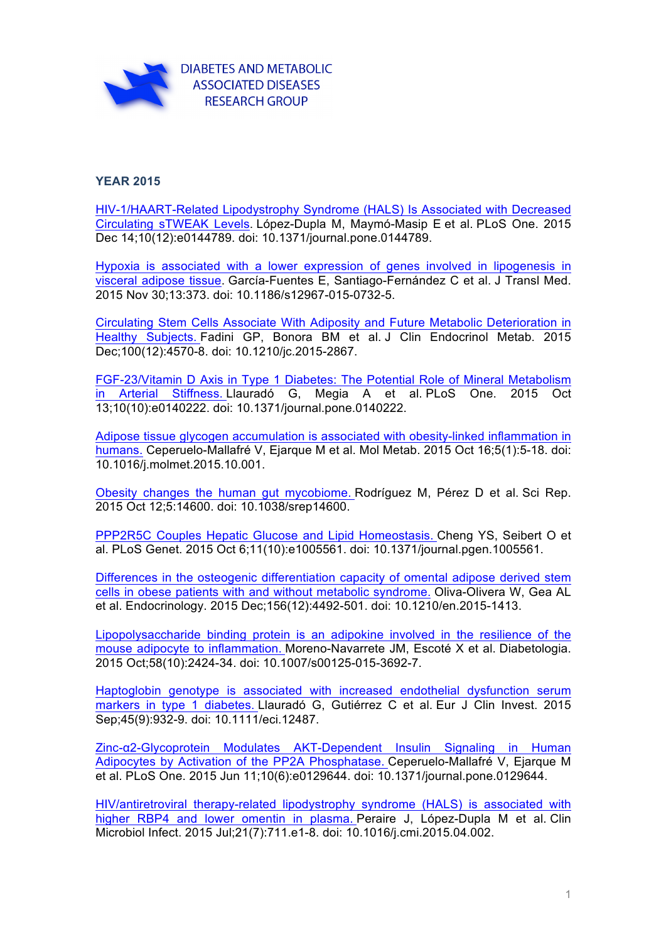

## **YEAR 2015**

HIV-1/HAART-Related Lipodystrophy Syndrome (HALS) Is Associated with Decreased Circulating sTWEAK Levels. López-Dupla M, Maymó-Masip E et al. PLoS One. 2015 Dec 14;10(12):e0144789. doi: 10.1371/journal.pone.0144789.

Hypoxia is associated with a lower expression of genes involved in lipogenesis in visceral adipose tissue. García-Fuentes E, Santiago-Fernández C et al. J Transl Med. 2015 Nov 30;13:373. doi: 10.1186/s12967-015-0732-5.

Circulating Stem Cells Associate With Adiposity and Future Metabolic Deterioration in Healthy Subjects. Fadini GP, Bonora BM et al. J Clin Endocrinol Metab. 2015 Dec;100(12):4570-8. doi: 10.1210/jc.2015-2867.

FGF-23/Vitamin D Axis in Type 1 Diabetes: The Potential Role of Mineral Metabolism in Arterial Stiffness. Llauradó G, Megia A et al. PLoS One. 2015 Oct 13;10(10):e0140222. doi: 10.1371/journal.pone.0140222.

Adipose tissue glycogen accumulation is associated with obesity-linked inflammation in humans. Ceperuelo-Mallafré V, Ejarque M et al. Mol Metab. 2015 Oct 16;5(1):5-18. doi: 10.1016/j.molmet.2015.10.001.

Obesity changes the human gut mycobiome. Rodríguez M, Pérez D et al. Sci Rep. 2015 Oct 12;5:14600. doi: 10.1038/srep14600.

PPP2R5C Couples Hepatic Glucose and Lipid Homeostasis. Cheng YS, Seibert O et al. PLoS Genet. 2015 Oct 6;11(10):e1005561. doi: 10.1371/journal.pgen.1005561.

Differences in the osteogenic differentiation capacity of omental adipose derived stem cells in obese patients with and without metabolic syndrome. Oliva-Olivera W, Gea AL et al. Endocrinology. 2015 Dec;156(12):4492-501. doi: 10.1210/en.2015-1413.

Lipopolysaccharide binding protein is an adipokine involved in the resilience of the mouse adipocyte to inflammation. Moreno-Navarrete JM, Escoté X et al. Diabetologia. 2015 Oct;58(10):2424-34. doi: 10.1007/s00125-015-3692-7.

Haptoglobin genotype is associated with increased endothelial dysfunction serum markers in type 1 diabetes. Llauradó G, Gutiérrez C et al. Eur J Clin Invest. 2015 Sep;45(9):932-9. doi: 10.1111/eci.12487.

Zinc-α2-Glycoprotein Modulates AKT-Dependent Insulin Signaling in Human Adipocytes by Activation of the PP2A Phosphatase. Ceperuelo-Mallafré V, Ejarque M et al. PLoS One. 2015 Jun 11;10(6):e0129644. doi: 10.1371/journal.pone.0129644.

HIV/antiretroviral therapy-related lipodystrophy syndrome (HALS) is associated with higher RBP4 and lower omentin in plasma. Peraire J, López-Dupla M et al. Clin Microbiol Infect. 2015 Jul;21(7):711.e1-8. doi: 10.1016/j.cmi.2015.04.002.